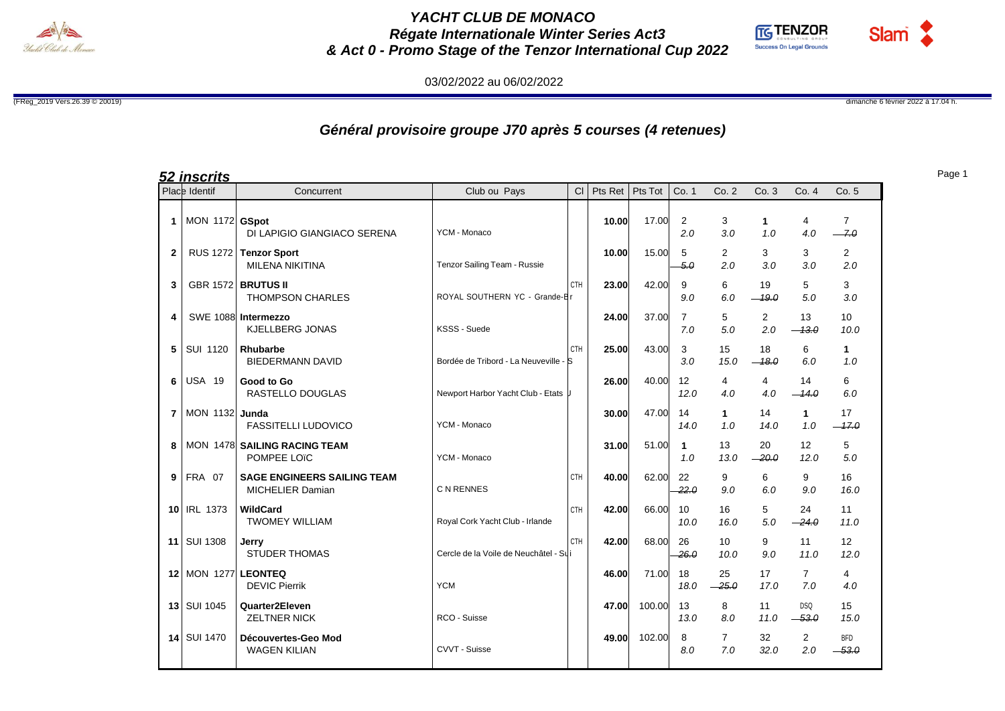

## *YACHT CLUB DE MONACO Régate Internationale Winter Series Act3 & Act 0 - Promo Stage of the Tenzor International Cup 2022*



03/02/2022 au 06/02/2022

(FReg\_2019 Vers.26.39 © 20019) dimanche 6 février 2022 à 17.04 h.

## *Général provisoire groupe J70 après 5 courses (4 retenues)*

| <u>52 inscrits</u> |                      |                                                               |                                       |            |       |                 |                           |                         |                       |                       |                          |
|--------------------|----------------------|---------------------------------------------------------------|---------------------------------------|------------|-------|-----------------|---------------------------|-------------------------|-----------------------|-----------------------|--------------------------|
|                    | Place Identif        | Concurrent                                                    | Club ou Pays                          | CI         |       | Pts Ret Pts Tot | Co. 1                     | Co.2                    | Co. 3                 | Co.4                  | Co. 5                    |
| $\mathbf 1$        | MON 1172 GSpot       | DI LAPIGIO GIANGIACO SERENA                                   | YCM - Monaco                          |            | 10.00 | 17.00           | 2<br>2.0                  | 3<br>3.0                | 1<br>1.0              | 4<br>4.0              | $\overline{7}$<br>$-7.0$ |
| $\mathbf{2}$       |                      | RUS 1272 Tenzor Sport<br>MILENA NIKITINA                      | Tenzor Sailing Team - Russie          |            | 10.00 | 15.00           | 5<br>$-5.0$               | $\overline{2}$<br>2.0   | 3<br>3.0              | 3<br>3.0              | $\overline{2}$<br>2.0    |
| 3                  |                      | <b>GBR 1572 BRUTUS II</b><br><b>THOMPSON CHARLES</b>          | ROYAL SOUTHERN YC - Grande-Er         | <b>CTH</b> | 23.00 | 42.00           | 9<br>9.0                  | 6<br>6.0                | 19<br>$-19.0$         | 5<br>5.0              | 3<br>3.0                 |
| 4                  |                      | SWE 1088 Intermezzo<br><b>KJELLBERG JONAS</b>                 | KSSS - Suede                          |            | 24.00 | 37.00           | $\overline{7}$<br>7.0     | 5<br>5.0                | $\overline{2}$<br>2.0 | 13<br>$-13.0$         | 10<br>10.0               |
|                    | 5 SUI 1120           | Rhubarbe<br><b>BIEDERMANN DAVID</b>                           | Bordée de Tribord - La Neuveville - S | <b>CTH</b> | 25.00 | 43.00           | 3<br>3.0                  | 15<br>15.0              | 18<br>$-18.0$         | 6<br>6.0              | $\mathbf{1}$<br>1.0      |
|                    | 6 USA 19             | Good to Go<br>RASTELLO DOUGLAS                                | Newport Harbor Yacht Club - Etats  J  |            | 26.00 | 40.00           | $12 \overline{ }$<br>12.0 | 4<br>4.0                | 4<br>4.0              | 14<br>$-14.0$         | 6<br>6.0                 |
|                    | 7   MON 1132   Junda | <b>FASSITELLI LUDOVICO</b>                                    | YCM - Monaco                          |            | 30.00 | 47.00           | 14<br>14.0                | $\mathbf{1}$<br>1.0     | 14<br>14.0            | $\mathbf{1}$<br>1.0   | 17<br>$-17.0$            |
|                    |                      | 8   MON 1478 SAILING RACING TEAM<br>POMPEE LOïC               | YCM - Monaco                          |            | 31.00 | 51.00           | $\overline{1}$<br>1.0     | 13<br>13.0              | 20<br>$-20.0$         | 12<br>12.0            | 5<br>5.0                 |
|                    | <b>9 FRA 07</b>      | <b>SAGE ENGINEERS SAILING TEAM</b><br><b>MICHELIER Damian</b> | C N RENNES                            | CTH        | 40.00 | 62.00           | 22<br>$-22.0$             | 9<br>9.0                | 6<br>6.0              | 9<br>9.0              | 16<br>16.0               |
|                    | 10 IRL 1373          | WildCard<br><b>TWOMEY WILLIAM</b>                             | Royal Cork Yacht Club - Irlande       | <b>CTH</b> | 42.00 | 66.00           | 10<br>10.0                | 16<br>16.0              | 5<br>5.0              | 24<br>$-24.0$         | 11<br>11.0               |
|                    | 11 SUI 1308          | Jerry<br><b>STUDER THOMAS</b>                                 | Cercle de la Voile de Neuchâtel - Sui | CTH        | 42.00 | 68.00           | 26<br>$-26.0$             | 10 <sup>°</sup><br>10.0 | 9<br>9.0              | 11<br>11.0            | 12<br>12.0               |
|                    | 12 MON 1277 LEONTEQ  | <b>DEVIC Pierrik</b>                                          | <b>YCM</b>                            |            | 46.00 | 71.00           | 18<br>18.0                | 25<br>$-25.0$           | 17<br>17.0            | $7^{\circ}$<br>7.0    | 4<br>4.0                 |
|                    | <b>13 SUI 1045</b>   | Quarter2Eleven<br><b>ZELTNER NICK</b>                         | RCO - Suisse                          |            | 47.00 | 100.00          | 13<br>13.0                | 8<br>8.0                | 11<br>11.0            | <b>DSQ</b><br>$-53.0$ | 15<br>15.0               |
|                    | <b>14 SUI 1470</b>   | Découvertes-Geo Mod<br><b>WAGEN KILIAN</b>                    | CVVT - Suisse                         |            | 49.00 | 102.00          | 8<br>8.0                  | $\overline{7}$<br>7.0   | 32<br>32.0            | $\overline{2}$<br>2.0 | <b>BFD</b><br>$-53.0$    |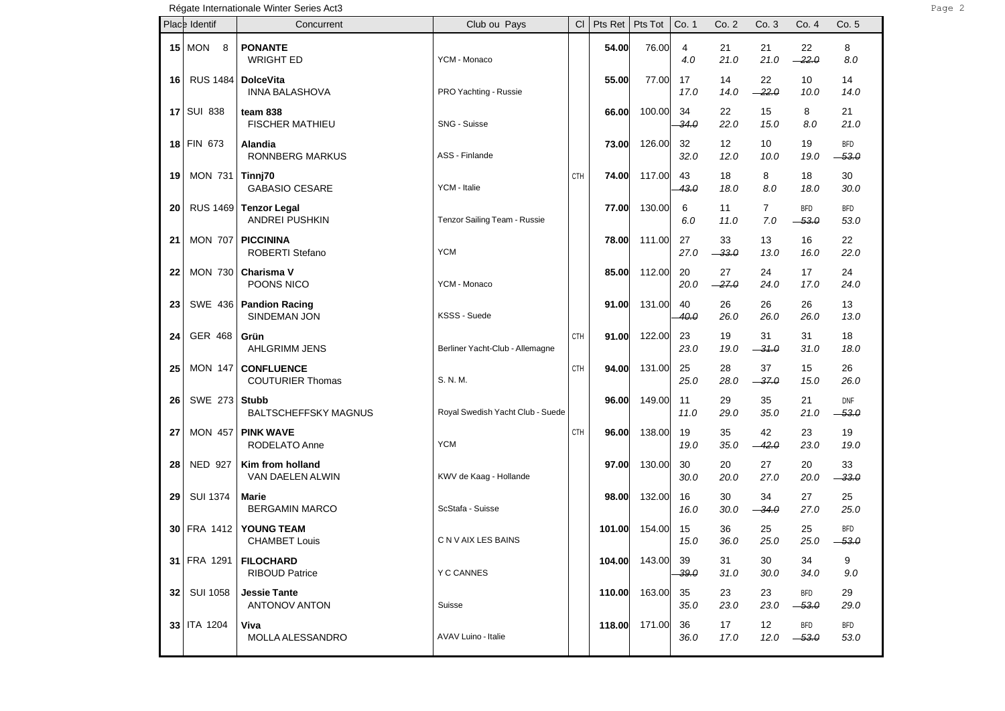Régate Internationale Winter Series Act3 **Page 2** 

|                 | Place Identif        | Concurrent                                   | Club ou Pays                     | <b>CI</b>  | Pts Ret | Pts Tot | Co. 1       | Co.2                    | Co.3                  | Co. 4                      | Co. 5                                           |
|-----------------|----------------------|----------------------------------------------|----------------------------------|------------|---------|---------|-------------|-------------------------|-----------------------|----------------------------|-------------------------------------------------|
| 15 <sub>1</sub> | <b>MON</b><br>8      | <b>PONANTE</b><br><b>WRIGHT ED</b>           | YCM - Monaco                     |            | 54.00   | 76.00   | 4<br>4.0    | 21<br>21.0              | 21<br>21.0            | 22<br>$-22.0$              | 8<br>8.0                                        |
| 16              | RUS 1484   DolceVita | <b>INNA BALASHOVA</b>                        | PRO Yachting - Russie            |            | 55.00   | 77.00   | 17<br>17.0  | 14<br>14.0              | 22<br>$-22.0$         | 10<br>10.0                 | 14<br>14.0                                      |
| 17 I            | <b>SUI 838</b>       | team 838<br><b>FISCHER MATHIEU</b>           | SNG - Suisse                     |            | 66.00   | 100.00  | 34<br>34.0  | 22<br>22.0              | 15<br>15.0            | 8<br>8.0                   | 21<br>21.0                                      |
| 18              | <b>FIN 673</b>       | Alandia<br><b>RONNBERG MARKUS</b>            | ASS - Finlande                   |            | 73.00   | 126.00  | 32<br>32.0  | 12<br>12.0              | 10<br>10.0            | 19<br>19.0                 | <b>BFD</b><br>-53.0                             |
| 19              | <b>MON 731</b>       | Tinnj70<br><b>GABASIO CESARE</b>             | YCM - Italie                     | <b>CTH</b> | 74.00   | 117.00  | 43<br>43.0  | 18<br>18.0              | 8<br>8.0              | 18<br>18.0                 | 30<br>30.0                                      |
| 20              | RUS 1469             | <b>Tenzor Legal</b><br><b>ANDREI PUSHKIN</b> | Tenzor Sailing Team - Russie     |            | 77.00   | 130.00  | 6<br>6.0    | 11<br>11.0              | $\overline{7}$<br>7.0 | <b>BFD</b><br>$-53.0$      | <b>BFD</b><br>53.0                              |
| 21              | <b>MON 707</b>       | <b>PICCININA</b><br>ROBERTI Stefano          | <b>YCM</b>                       |            | 78.00   | 111.00  | 27<br>27.0  | 33<br>$-33.0$           | 13<br>13.0            | 16<br>16.0                 | 22<br>22.0                                      |
| 22              |                      | MON 730   Charisma V<br>POONS NICO           | YCM - Monaco                     |            | 85.00   | 112.00  | 20<br>20.0  | 27<br>$-27.0$           | 24<br>24.0            | 17<br>17.0                 | 24<br>24.0                                      |
| 23              | SWE 436              | <b>Pandion Racing</b><br>SINDEMAN JON        | KSSS - Suede                     |            | 91.00   | 131.00  | 40<br>40.0  | 26<br>26.0              | 26<br>26.0            | 26<br>26.0                 | 13<br>13.0                                      |
| 24              | GER 468              | Grün<br><b>AHLGRIMM JENS</b>                 | Berliner Yacht-Club - Allemagne  | <b>CTH</b> | 91.00   | 122.00  | 23<br>23.0  | 19<br>19.0              | 31<br>$-31.0$         | 31<br>31.0                 | 18<br>18.0                                      |
| 25              | <b>MON 147</b>       | <b>CONFLUENCE</b><br><b>COUTURIER Thomas</b> | S. N. M.                         | <b>CTH</b> | 94.00   | 131.00  | 25<br>25.0  | 28<br>28.0              | 37<br>$-37.0$         | 15<br>15.0                 | 26<br>26.0                                      |
| 26              | SWE 273 Stubb        | <b>BALTSCHEFFSKY MAGNUS</b>                  | Royal Swedish Yacht Club - Suede |            | 96.00   | 149.00  | 11<br>11.0  | 29<br>29.0              | 35<br>35.0            | 21<br>21.0                 | <b>DNF</b><br>-53.0<br>$\overline{\phantom{0}}$ |
| 27              | <b>MON 457</b>       | <b>PINK WAVE</b><br>RODELATO Anne            | <b>YCM</b>                       | <b>CTH</b> | 96.00   | 138.00  | 19<br>19.0  | 35<br>35.0              | 42<br>$-42.0$         | 23<br>23.0                 | 19<br>19.0                                      |
| 28              | NED 927              | Kim from holland<br>VAN DAELEN ALWIN         | KWV de Kaag - Hollande           |            | 97.00   | 130.00  | 30<br>30.0  | 20<br>20.0              | 27<br>27.0            | 20<br>20.0                 | 33<br>$-33.0$                                   |
| 29              | <b>SUI 1374</b>      | Marie<br><b>BERGAMIN MARCO</b>               | ScStafa - Suisse                 |            | 98.00   | 132.00  | 16<br>16.0  | 30<br>30.0              | 34<br>$-34.0$         | 27<br>27.0                 | 25<br>25.0                                      |
| 30              | FRA 1412             | <b>YOUNG TEAM</b><br><b>CHAMBET Louis</b>    | C N V AIX LES BAINS              |            | 101.00  | 154.00  | 15<br>15.0  | 36<br>36.0              | 25<br>25.0            | 25<br>25.0                 | <b>BFD</b><br>$-53.0$                           |
|                 | 31 FRA 1291          | <b>FILOCHARD</b><br><b>RIBOUD Patrice</b>    | Y C CANNES                       |            | 104.00  | 143.00  | 39<br>-39.0 | 31<br>31.0              | 30<br>30.0            | 34<br>34.0                 | 9<br>9.0                                        |
|                 | 32 SUI 1058          | <b>Jessie Tante</b><br>ANTONOV ANTON         | Suisse                           |            | 110.00  | 163.00  | 35<br>35.0  | 23<br>23.0              | 23<br>23.0            | <b>BFD</b><br>$-53.0$      | 29<br>29.0                                      |
|                 | 33 ITA 1204          | Viva<br><b>MOLLA ALESSANDRO</b>              | AVAV Luino - Italie              |            | 118.00  | 171.00  | 36<br>36.0  | 17 <sup>2</sup><br>17.0 | 12                    | <b>BFD</b><br>$12.0 -53.0$ | <b>BFD</b><br>53.0                              |